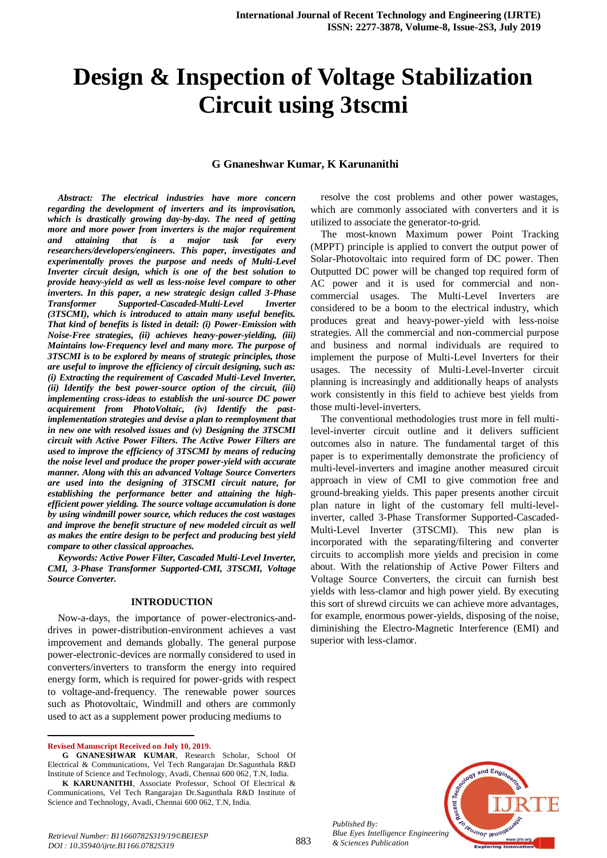# **Design & Inspection of Voltage Stabilization Circuit using 3tscmi**

### **G Gnaneshwar Kumar, K Karunanithi**

*Abstract: The electrical industries have more concern regarding the development of inverters and its improvisation, which is drastically growing day-by-day. The need of getting more and more power from inverters is the major requirement and attaining that is a major task for every researchers/developers/engineers. This paper, investigates and experimentally proves the purpose and needs of Multi-Level Inverter circuit design, which is one of the best solution to provide heavy-yield as well as less-noise level compare to other inverters. In this paper, a new strategic design called 3-Phase Transformer Supported-Cascaded-Multi-Level Inverter (3TSCMI), which is introduced to attain many useful benefits. That kind of benefits is listed in detail: (i) Power-Emission with Noise-Free strategies, (ii) achieves heavy-power-yielding, (iii) Maintains low-Frequency level and many more. The purpose of 3TSCMI is to be explored by means of strategic principles, those are useful to improve the efficiency of circuit designing, such as: (i) Extracting the requirement of Cascaded Multi-Level Inverter, (ii) Identify the best power-source option of the circuit, (iii) implementing cross-ideas to establish the uni-source DC power acquirement from PhotoVoltaic, (iv) Identify the pastimplementation strategies and devise a plan to reemployment that in new one with resolved issues and (v) Designing the 3TSCMI circuit with Active Power Filters. The Active Power Filters are used to improve the efficiency of 3TSCMI by means of reducing the noise level and produce the proper power-yield with accurate manner. Along with this an advanced Voltage Source Converters are used into the designing of 3TSCMI circuit nature, for establishing the performance better and attaining the highefficient power yielding. The source voltage accumulation is done by using windmill power source, which reduces the cost wastages and improve the benefit structure of new modeled circuit as well as makes the entire design to be perfect and producing best yield compare to other classical approaches.*

*Keywords: Active Power Filter, Cascaded Multi-Level Inverter, CMI, 3-Phase Transformer Supported-CMI, 3TSCMI, Voltage Source Converter.*

#### **INTRODUCTION**

Now-a-days, the importance of power-electronics-anddrives in power-distribution-environment achieves a vast improvement and demands globally. The general purpose power-electronic-devices are normally considered to used in converters/inverters to transform the energy into required energy form, which is required for power-grids with respect to voltage-and-frequency. The renewable power sources such as Photovoltaic, Windmill and others are commonly used to act as a supplement power producing mediums to

**Revised Manuscript Received on July 10, 2019.**

 $\overline{a}$ 

resolve the cost problems and other power wastages, which are commonly associated with converters and it is utilized to associate the generator-to-grid.

The most-known Maximum power Point Tracking (MPPT) principle is applied to convert the output power of Solar-Photovoltaic into required form of DC power. Then Outputted DC power will be changed top required form of AC power and it is used for commercial and noncommercial usages. The Multi-Level Inverters are considered to be a boom to the electrical industry, which produces great and heavy-power-yield with less-noise strategies. All the commercial and non-commercial purpose and business and normal individuals are required to implement the purpose of Multi-Level Inverters for their usages. The necessity of Multi-Level-Inverter circuit planning is increasingly and additionally heaps of analysts work consistently in this field to achieve best yields from those multi-level-inverters.

The conventional methodologies trust more in fell multilevel-inverter circuit outline and it delivers sufficient outcomes also in nature. The fundamental target of this paper is to experimentally demonstrate the proficiency of multi-level-inverters and imagine another measured circuit approach in view of CMI to give commotion free and ground-breaking yields. This paper presents another circuit plan nature in light of the customary fell multi-levelinverter, called 3-Phase Transformer Supported-Cascaded-Multi-Level Inverter (3TSCMI). This new plan is incorporated with the separating/filtering and converter circuits to accomplish more yields and precision in come about. With the relationship of Active Power Filters and Voltage Source Converters, the circuit can furnish best yields with less-clamor and high power yield. By executing this sort of shrewd circuits we can achieve more advantages, for example, enormous power-yields, disposing of the noise, diminishing the Electro-Magnetic Interference (EMI) and superior with less-clamor.



*Published By: Blue Eyes Intelligence Engineering & Sciences Publication* 

**G GNANESHWAR KUMAR**, Research Scholar, School Of Electrical & Communications, Vel Tech Rangarajan Dr.Sagunthala R&D Institute of Science and Technology, Avadi, Chennai 600 062, T.N, India.

**K KARUNANITHI**, Associate Professor, School Of Electrical & Communications, Vel Tech Rangarajan Dr.Sagunthala R&D Institute of Science and Technology, Avadi, Chennai 600 062, T.N, India.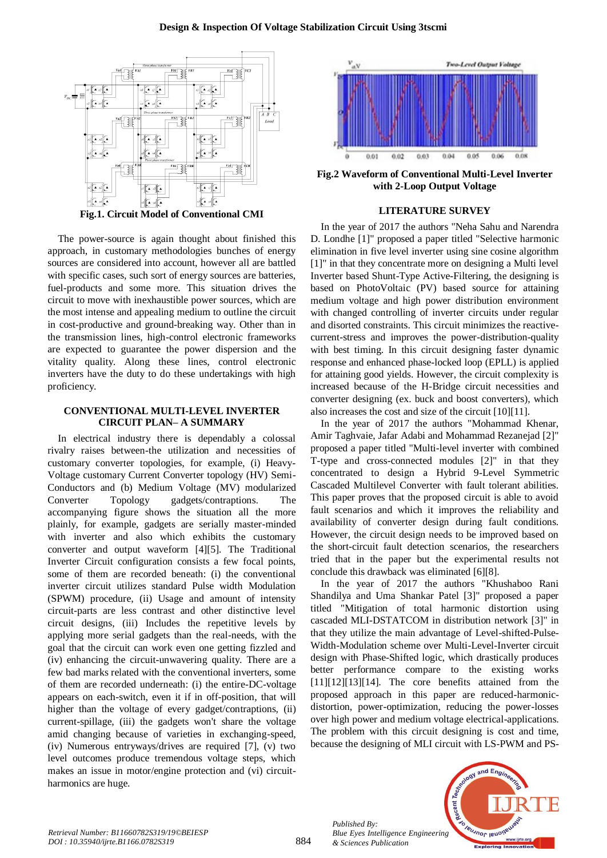

**Fig.1. Circuit Model of Conventional CMI**

The power-source is again thought about finished this approach, in customary methodologies bunches of energy sources are considered into account, however all are battled with specific cases, such sort of energy sources are batteries, fuel-products and some more. This situation drives the circuit to move with inexhaustible power sources, which are the most intense and appealing medium to outline the circuit in cost-productive and ground-breaking way. Other than in the transmission lines, high-control electronic frameworks are expected to guarantee the power dispersion and the vitality quality. Along these lines, control electronic inverters have the duty to do these undertakings with high proficiency.

## **CONVENTIONAL MULTI-LEVEL INVERTER CIRCUIT PLAN– A SUMMARY**

In electrical industry there is dependably a colossal rivalry raises between-the utilization and necessities of customary converter topologies, for example, (i) Heavy-Voltage customary Current Converter topology (HV) Semi-Conductors and (b) Medium Voltage (MV) modularized Converter Topology gadgets/contraptions. The accompanying figure shows the situation all the more plainly, for example, gadgets are serially master-minded with inverter and also which exhibits the customary converter and output waveform [4][5]. The Traditional Inverter Circuit configuration consists a few focal points, some of them are recorded beneath: (i) the conventional inverter circuit utilizes standard Pulse width Modulation (SPWM) procedure, (ii) Usage and amount of intensity circuit-parts are less contrast and other distinctive level circuit designs, (iii) Includes the repetitive levels by applying more serial gadgets than the real-needs, with the goal that the circuit can work even one getting fizzled and (iv) enhancing the circuit-unwavering quality. There are a few bad marks related with the conventional inverters, some of them are recorded underneath: (i) the entire-DC-voltage appears on each-switch, even it if in off-position, that will higher than the voltage of every gadget/contraptions, (ii) current-spillage, (iii) the gadgets won't share the voltage amid changing because of varieties in exchanging-speed, (iv) Numerous entryways/drives are required [7], (v) two level outcomes produce tremendous voltage steps, which makes an issue in motor/engine protection and (vi) circuitharmonics are huge.



**Fig.2 Waveform of Conventional Multi-Level Inverter with 2-Loop Output Voltage**

### **LITERATURE SURVEY**

In the year of 2017 the authors "Neha Sahu and Narendra D. Londhe [1]" proposed a paper titled "Selective harmonic elimination in five level inverter using sine cosine algorithm [1]" in that they concentrate more on designing a Multi level Inverter based Shunt-Type Active-Filtering, the designing is based on PhotoVoltaic (PV) based source for attaining medium voltage and high power distribution environment with changed controlling of inverter circuits under regular and disorted constraints. This circuit minimizes the reactivecurrent-stress and improves the power-distribution-quality with best timing. In this circuit designing faster dynamic response and enhanced phase-locked loop (EPLL) is applied for attaining good yields. However, the circuit complexity is increased because of the H-Bridge circuit necessities and converter designing (ex. buck and boost converters), which also increases the cost and size of the circuit [10][11].

In the year of 2017 the authors "Mohammad Khenar, Amir Taghvaie, Jafar Adabi and Mohammad Rezanejad [2]" proposed a paper titled "Multi-level inverter with combined T-type and cross-connected modules [2]" in that they concentrated to design a Hybrid 9-Level Symmetric Cascaded Multilevel Converter with fault tolerant abilities. This paper proves that the proposed circuit is able to avoid fault scenarios and which it improves the reliability and availability of converter design during fault conditions. However, the circuit design needs to be improved based on the short-circuit fault detection scenarios, the researchers tried that in the paper but the experimental results not conclude this drawback was eliminated [6][8].

In the year of 2017 the authors "Khushaboo Rani Shandilya and Uma Shankar Patel [3]" proposed a paper titled "Mitigation of total harmonic distortion using cascaded MLI-DSTATCOM in distribution network [3]" in that they utilize the main advantage of Level-shifted-Pulse-Width-Modulation scheme over Multi-Level-Inverter circuit design with Phase-Shifted logic, which drastically produces better performance compare to the existing works  $[11][12][13][14]$ . The core benefits attained from the proposed approach in this paper are reduced-harmonicdistortion, power-optimization, reducing the power-losses over high power and medium voltage electrical-applications. The problem with this circuit designing is cost and time, because the designing of MLI circuit with LS-PWM and PS-



*Published By:*

*& Sciences Publication*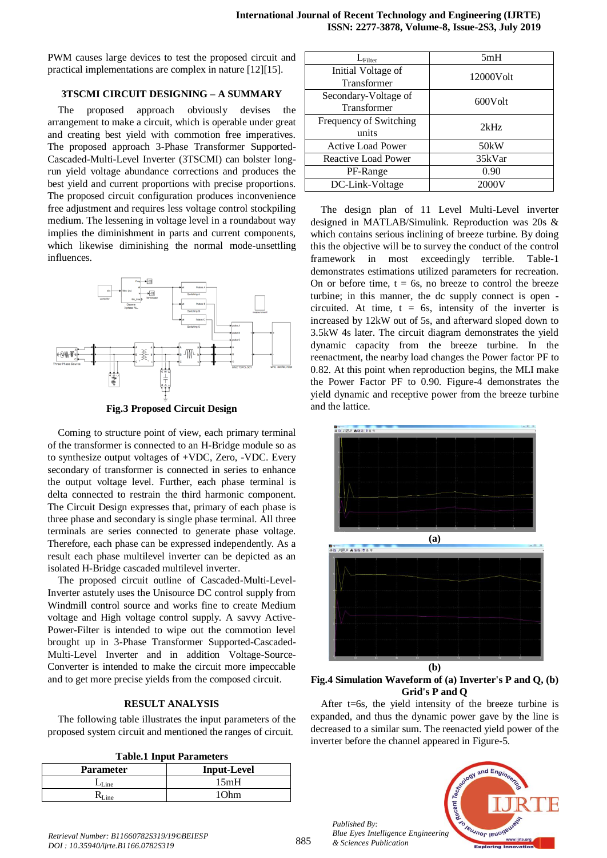PWM causes large devices to test the proposed circuit and practical implementations are complex in nature [12][15].

# **3TSCMI CIRCUIT DESIGNING – A SUMMARY**

The proposed approach obviously devises the arrangement to make a circuit, which is operable under great and creating best yield with commotion free imperatives. The proposed approach 3-Phase Transformer Supported-Cascaded-Multi-Level Inverter (3TSCMI) can bolster longrun yield voltage abundance corrections and produces the best yield and current proportions with precise proportions. The proposed circuit configuration produces inconvenience free adjustment and requires less voltage control stockpiling medium. The lessening in voltage level in a roundabout way implies the diminishment in parts and current components, which likewise diminishing the normal mode-unsettling influences.



**Fig.3 Proposed Circuit Design**

Coming to structure point of view, each primary terminal of the transformer is connected to an H-Bridge module so as to synthesize output voltages of +VDC, Zero, -VDC. Every secondary of transformer is connected in series to enhance the output voltage level. Further, each phase terminal is delta connected to restrain the third harmonic component. The Circuit Design expresses that, primary of each phase is three phase and secondary is single phase terminal. All three terminals are series connected to generate phase voltage. Therefore, each phase can be expressed independently. As a result each phase multilevel inverter can be depicted as an isolated H-Bridge cascaded multilevel inverter.

The proposed circuit outline of Cascaded-Multi-Level-Inverter astutely uses the Unisource DC control supply from Windmill control source and works fine to create Medium voltage and High voltage control supply. A savvy Active-Power-Filter is intended to wipe out the commotion level brought up in 3-Phase Transformer Supported-Cascaded-Multi-Level Inverter and in addition Voltage-Source-Converter is intended to make the circuit more impeccable and to get more precise yields from the composed circuit.

## **RESULT ANALYSIS**

The following table illustrates the input parameters of the proposed system circuit and mentioned the ranges of circuit.

**Table.1 Input Parameters**

| <b>Parameter</b> | <b>Input-Level</b> |
|------------------|--------------------|
| $-Line$          | 15mH               |
|                  | 1∩hm               |

| $L_{\rm Filter}$         | 5mH               |
|--------------------------|-------------------|
| Initial Voltage of       | 12000Volt         |
| Transformer              |                   |
| Secondary-Voltage of     | 600Volt           |
| Transformer              |                   |
| Frequency of Switching   | 2kHz              |
| units                    |                   |
| <b>Active Load Power</b> | 50 <sub>k</sub> W |
| Reactive Load Power      | 35kVar            |
| PF-Range                 | 0.90              |
| DC-Link-Voltage          | 2000V             |

The design plan of 11 Level Multi-Level inverter designed in MATLAB/Simulink. Reproduction was 20s & which contains serious inclining of breeze turbine. By doing this the objective will be to survey the conduct of the control framework in most exceedingly terrible. Table-1 demonstrates estimations utilized parameters for recreation. On or before time,  $t = 6s$ , no breeze to control the breeze turbine; in this manner, the dc supply connect is open circuited. At time,  $t = 6s$ , intensity of the inverter is increased by 12kW out of 5s, and afterward sloped down to 3.5kW 4s later. The circuit diagram demonstrates the yield dynamic capacity from the breeze turbine. In the reenactment, the nearby load changes the Power factor PF to 0.82. At this point when reproduction begins, the MLI make the Power Factor PF to 0.90. Figure-4 demonstrates the yield dynamic and receptive power from the breeze turbine and the lattice.



**Fig.4 Simulation Waveform of (a) Inverter's P and Q, (b) Grid's P and Q**

After  $t=6s$ , the yield intensity of the breeze turbine is expanded, and thus the dynamic power gave by the line is decreased to a similar sum. The reenacted yield power of the inverter before the channel appeared in Figure-5.



*Published By: Blue Eyes Intelligence Engineering & Sciences Publication*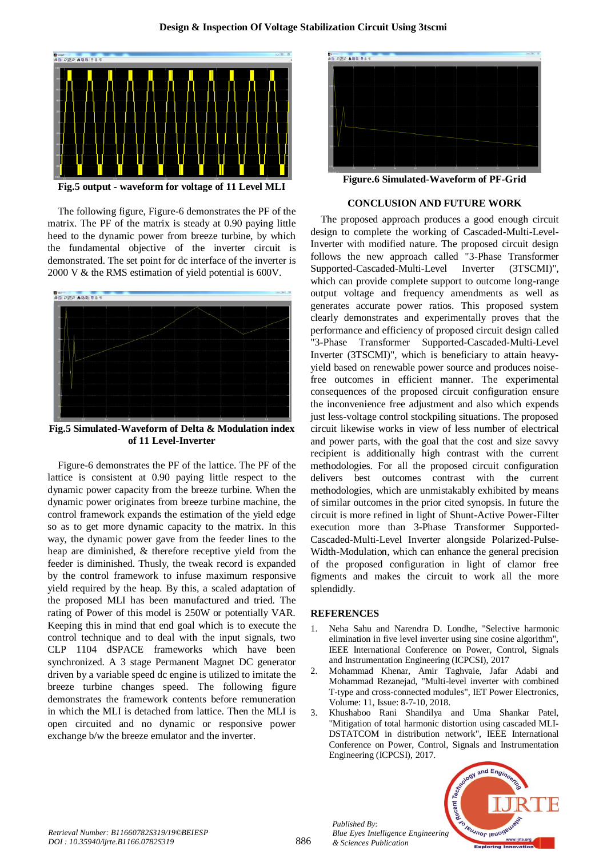

**Fig.5 output - waveform for voltage of 11 Level MLI**

The following figure, Figure-6 demonstrates the PF of the matrix. The PF of the matrix is steady at 0.90 paying little heed to the dynamic power from breeze turbine, by which the fundamental objective of the inverter circuit is demonstrated. The set point for dc interface of the inverter is 2000 V & the RMS estimation of yield potential is 600V.



**Fig.5 Simulated-Waveform of Delta & Modulation index of 11 Level-Inverter**

Figure-6 demonstrates the PF of the lattice. The PF of the lattice is consistent at 0.90 paying little respect to the dynamic power capacity from the breeze turbine. When the dynamic power originates from breeze turbine machine, the control framework expands the estimation of the yield edge so as to get more dynamic capacity to the matrix. In this way, the dynamic power gave from the feeder lines to the heap are diminished, & therefore receptive yield from the feeder is diminished. Thusly, the tweak record is expanded by the control framework to infuse maximum responsive yield required by the heap. By this, a scaled adaptation of the proposed MLI has been manufactured and tried. The rating of Power of this model is 250W or potentially VAR. Keeping this in mind that end goal which is to execute the control technique and to deal with the input signals, two CLP 1104 dSPACE frameworks which have been synchronized. A 3 stage Permanent Magnet DC generator driven by a variable speed dc engine is utilized to imitate the breeze turbine changes speed. The following figure demonstrates the framework contents before remuneration in which the MLI is detached from lattice. Then the MLI is open circuited and no dynamic or responsive power exchange b/w the breeze emulator and the inverter.



**Figure.6 Simulated-Waveform of PF-Grid**

#### **CONCLUSION AND FUTURE WORK**

The proposed approach produces a good enough circuit design to complete the working of Cascaded-Multi-Level-Inverter with modified nature. The proposed circuit design follows the new approach called "3-Phase Transformer Supported-Cascaded-Multi-Level Inverter (3TSCMI)", which can provide complete support to outcome long-range output voltage and frequency amendments as well as generates accurate power ratios. This proposed system clearly demonstrates and experimentally proves that the performance and efficiency of proposed circuit design called "3-Phase Transformer Supported-Cascaded-Multi-Level Inverter (3TSCMI)", which is beneficiary to attain heavyyield based on renewable power source and produces noisefree outcomes in efficient manner. The experimental consequences of the proposed circuit configuration ensure the inconvenience free adjustment and also which expends just less-voltage control stockpiling situations. The proposed circuit likewise works in view of less number of electrical and power parts, with the goal that the cost and size savvy recipient is additionally high contrast with the current methodologies. For all the proposed circuit configuration delivers best outcomes contrast with the current methodologies, which are unmistakably exhibited by means of similar outcomes in the prior cited synopsis. In future the circuit is more refined in light of Shunt-Active Power-Filter execution more than 3-Phase Transformer Supported-Cascaded-Multi-Level Inverter alongside Polarized-Pulse-Width-Modulation, which can enhance the general precision of the proposed configuration in light of clamor free figments and makes the circuit to work all the more splendidly.

#### **REFERENCES**

*Published By:*

*& Sciences Publication* 

- 1. Neha Sahu and Narendra D. Londhe, "Selective harmonic elimination in five level inverter using sine cosine algorithm", IEEE International Conference on Power, Control, Signals and Instrumentation Engineering (ICPCSI), 2017
- 2. Mohammad Khenar, Amir Taghvaie, Jafar Adabi and Mohammad Rezanejad, "Multi-level inverter with combined T-type and cross-connected modules", IET Power Electronics, Volume: 11, Issue: 8-7-10, 2018.
- 3. Khushaboo Rani Shandilya and Uma Shankar Patel, "Mitigation of total harmonic distortion using cascaded MLI-DSTATCOM in distribution network", IEEE International Conference on Power, Control, Signals and Instrumentation Engineering (ICPCSI), 2017.